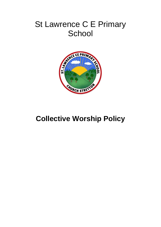# St Lawrence C E Primary **School**



## **Collective Worship Policy**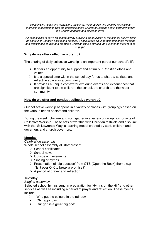*Recognising its historic foundation, the school will preserve and develop its religious character in accordance with the principles of the Church of England and in partnership with the Church at parish and diocesan level.*

*Our school aims to serve its community by providing an education of the highest quality within the context of Christian beliefs and practice. It encourages an understanding of the meaning and significance of faith and promotes Christian values through the experience it offers to all its pupils.*

#### **Why do we offer collective worship?**

The sharing of daily collective worship is an important part of our school's life:

- $\triangleright$  It offers an opportunity to support and affirm our Christian ethos and values.
- $\triangleright$  It is a special time within the school day for us to share a spiritual and reflective space as a community.
- $\triangleright$  It provides a unique context for exploring events and experiences that are significant to the children, the school, the church and the wider community.

#### **How do we offer and conduct collective worship?**

Our collective worship happens in a variety of places with groupings based on the various needs of staff and children.

During the week, children and staff gather in a variety of groupings for acts of Collective Worship. These acts of worship with Christian festivals and also link with the 'St Lawrence Way' a learning model created by staff, children and governors and church governors.

#### **Monday**

*Celebration assembly*

Whole school assembly all staff present

- $\triangleright$  School certificates
- $\triangleright$  School news
- Outside achievements
- $\triangleright$  Singing of hymns
- $\triangleright$  Presentation of 'big question' from OTB (Open the Book) theme e.g.  $-$ "Is it ever O.K to break a promise?"
- $\triangleright$  A period of prayer and reflection.

#### **Tuesday**

#### *Singing assembly*

Selected school hymns sung in preparation for 'Hymns on the Hill' and other services as well as including a period of prayer and reflection. These hymns include

- 'Who put the colours in the rainbow'
- $\triangleright$  'Oh happy day'
- $\triangleright$  'Our god is a great big god'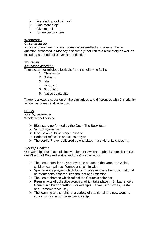- $\triangleright$  'We shall go out with joy'
- > 'One more step'
- 'Give me oil'
- 'Shine Jesus shine'

## **Wednesday**

## *Class discussion*

Pupils and teachers in class rooms discuss/reflect and answer the big question presented in Monday's assembly that link to a bible story as well as including a periods of prayer and reflection.

## **Thursday**

*Key Stage assembly*

These cater for religious festivals from the following faiths.

- 1. Christianity
- 2. Sikhism
- 3. Islam
- 4. Hinduism
- 5. Buddhism
- 6. Native spirituality

There is always discussion on the similarities and differences with Christianity as well as prayer and reflection.

## **Friday**

*Worship assembly* Whole school service

- $\triangleright$  Bible story performed by the Open The Book team
- $\triangleright$  School hymns sung
- $\triangleright$  Discussion of bible story message
- $\triangleright$  Period of reflection and class prayers
- $\triangleright$  The Lord's Prayer delivered by one class in a style of its choosing.

#### *Worship Content*

Our worship times have distinctive elements which emphasise our distinctive our Church of England status and our Christian ethos.

- $\triangleright$  The use of familiar prayers over the course of the year, and which children can gain confidence and join in with.
- $\triangleright$  Spontaneous prayers which focus on an event whether local, national or international that requires thought and reflection.
- $\triangleright$  The use of themes which reflect the Church's calendar.
- $\triangleright$  Regular acts of collective worship, which take place in St. Laurence's Church in Church Stretton. For example Harvest, Christmas, Easter and Remembrance Day.
- $\triangleright$  The learning and singing of a variety of traditional and new worship songs for use in our collective worship.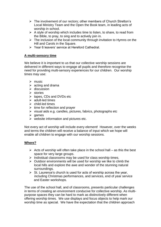- The involvement of our rectors; other members of Church Stretton's Local Ministry Team and the Open the Book team, in leading acts of worship in school.
- $\triangleright$  A style of worship which includes time to listen, to share, to read from the Bible, to pray, to sing and to actively join in.
- $\triangleright$  The inclusion of the local community through invitation to Hymns on the Hill and Carols in the Square.
- Year 6 leavers' service at Hereford Cathedral.

## **A multi-sensory time**

We believe it is important to us that our collective worship sessions are delivered in different ways to engage all pupils and therefore recognise the need for providing multi-sensory experiences for our children. Our worship times may use:

- $\triangleright$  music
- $\triangleright$  acting and drama
- $\triangleright$  discussion
- $\triangleright$  stories
- $\triangleright$  tapes, CDs and DVDs etc
- $\geq$  adult-led times
- $\triangleright$  child-led times
- $\triangleright$  time for reflection and prayer
- $\triangleright$  visual aids e.g. candles, pictures, fabrics, photographs etc
- $\ge$  games
- $\triangleright$  website information and pictures etc.

Not every act of worship will include every element! However, over the weeks and terms the children will receive a balance of input which we hope will enable all children to engage with our worship sessions.

## **Where?**

- $\triangleright$  Acts of worship will often take place in the school hall as this the best space for very large groups.
- $\triangleright$  Individual classrooms may be used for class worship times.
- $\triangleright$  Outdoor environments will be used for worship we like to climb the local hills and explore the awe and wonder of the stunning natural surroundings.
- $\triangleright$  St. Laurence's church is used for acts of worship across the year, including Christmas performances, and services, end of year service and Easter workshops.

The use of the school hall, and of classrooms, presents particular challenges in terms of creating an environment conducive for collective worship. As multipurpose spaces they can be hard to mark as distinctively different when offering worship times. We use displays and focus objects to help mark our worship time as special. We have the expectation that the children approach